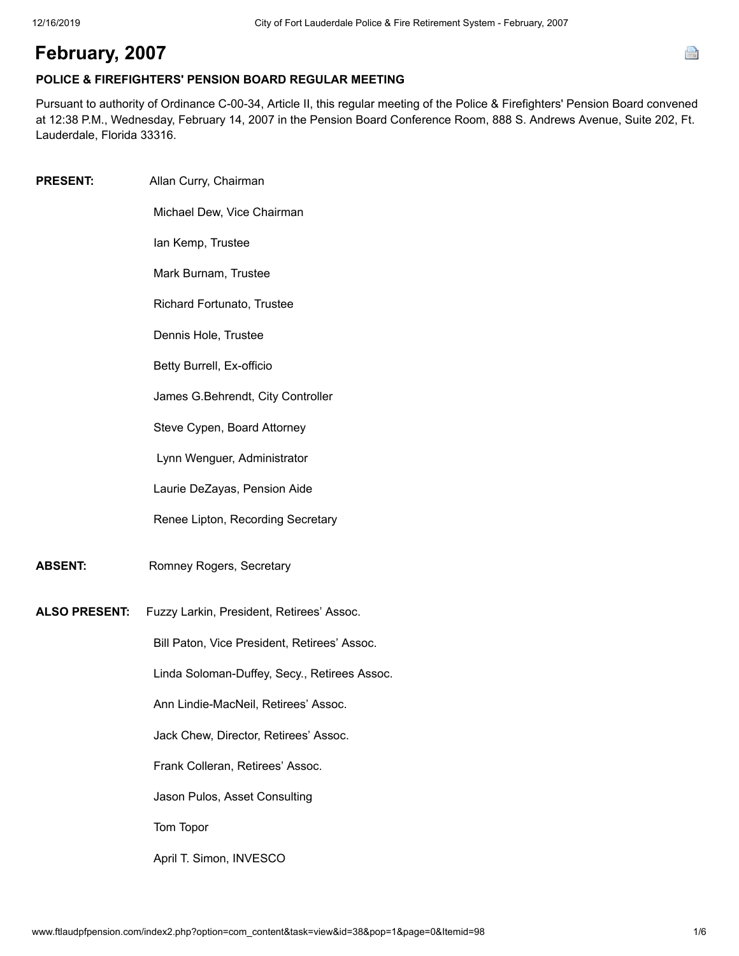## **February, 2007**

## **POLICE & FIREFIGHTERS' PENSION BOARD REGULAR MEETING**

Pursuant to authority of Ordinance C-00-34, Article II, this regular meeting of the Police & Firefighters' Pension Board convened at 12:38 P.M., Wednesday, February 14, 2007 in the Pension Board Conference Room, 888 S. Andrews Avenue, Suite 202, Ft. Lauderdale, Florida 33316.

**PRESENT:** Allan Curry, Chairman Michael Dew, Vice Chairman Ian Kemp, Trustee Mark Burnam, Trustee Richard Fortunato, Trustee Dennis Hole, Trustee Betty Burrell, Ex-officio James G.Behrendt, City Controller Steve Cypen, Board Attorney Lynn Wenguer, Administrator Laurie DeZayas, Pension Aide Renee Lipton, Recording Secretary **ABSENT:** Romney Rogers, Secretary **ALSO PRESENT:** Fuzzy Larkin, President, Retirees' Assoc. Bill Paton, Vice President, Retirees' Assoc. Linda Soloman-Duffey, Secy., Retirees Assoc. Ann Lindie-MacNeil, Retirees' Assoc. Jack Chew, Director, Retirees' Assoc. Frank Colleran, Retirees' Assoc. Jason Pulos, Asset Consulting Tom Topor April T. Simon, INVESCO

e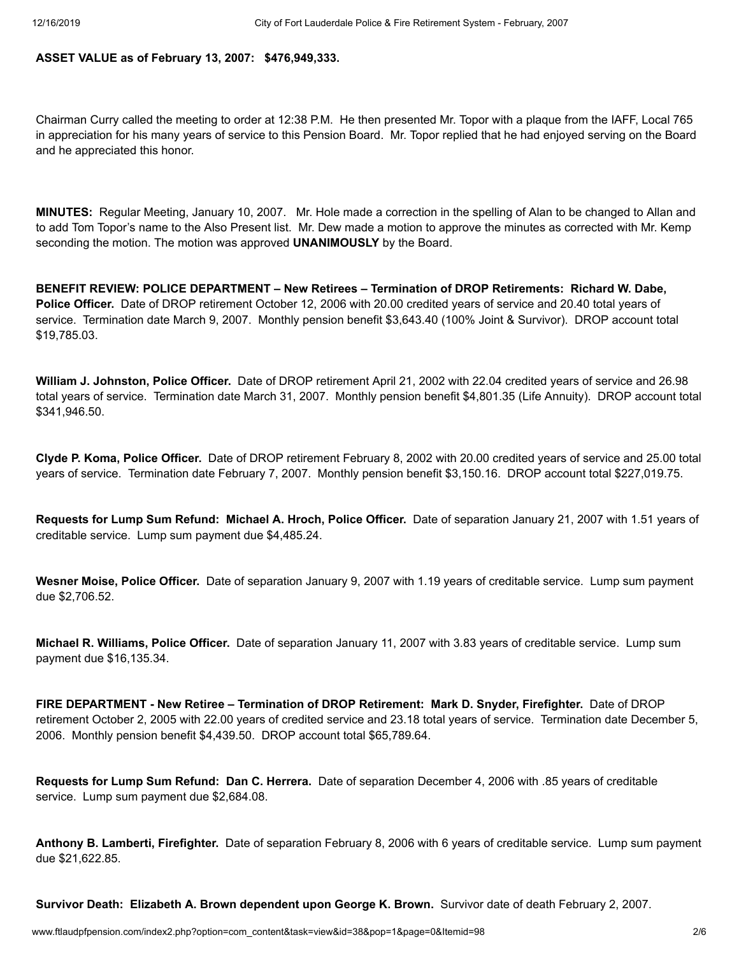**ASSET VALUE as of February 13, 2007: \$476,949,333.**

Chairman Curry called the meeting to order at 12:38 P.M. He then presented Mr. Topor with a plaque from the IAFF, Local 765 in appreciation for his many years of service to this Pension Board. Mr. Topor replied that he had enjoyed serving on the Board and he appreciated this honor.

**MINUTES:** Regular Meeting, January 10, 2007. Mr. Hole made a correction in the spelling of Alan to be changed to Allan and to add Tom Topor's name to the Also Present list. Mr. Dew made a motion to approve the minutes as corrected with Mr. Kemp seconding the motion. The motion was approved **UNANIMOUSLY** by the Board.

**BENEFIT REVIEW: POLICE DEPARTMENT – New Retirees – Termination of DROP Retirements: Richard W. Dabe, Police Officer.** Date of DROP retirement October 12, 2006 with 20.00 credited years of service and 20.40 total years of service. Termination date March 9, 2007. Monthly pension benefit \$3,643.40 (100% Joint & Survivor). DROP account total \$19,785.03.

**William J. Johnston, Police Officer.** Date of DROP retirement April 21, 2002 with 22.04 credited years of service and 26.98 total years of service. Termination date March 31, 2007. Monthly pension benefit \$4,801.35 (Life Annuity). DROP account total \$341,946.50.

**Clyde P. Koma, Police Officer.** Date of DROP retirement February 8, 2002 with 20.00 credited years of service and 25.00 total years of service. Termination date February 7, 2007. Monthly pension benefit \$3,150.16. DROP account total \$227,019.75.

**Requests for Lump Sum Refund: Michael A. Hroch, Police Officer.** Date of separation January 21, 2007 with 1.51 years of creditable service. Lump sum payment due \$4,485.24.

**Wesner Moise, Police Officer.** Date of separation January 9, 2007 with 1.19 years of creditable service. Lump sum payment due \$2,706.52.

**Michael R. Williams, Police Officer.** Date of separation January 11, 2007 with 3.83 years of creditable service. Lump sum payment due \$16,135.34.

**FIRE DEPARTMENT - New Retiree – Termination of DROP Retirement: Mark D. Snyder, Firefighter.** Date of DROP retirement October 2, 2005 with 22.00 years of credited service and 23.18 total years of service. Termination date December 5, 2006. Monthly pension benefit \$4,439.50. DROP account total \$65,789.64.

**Requests for Lump Sum Refund: Dan C. Herrera.** Date of separation December 4, 2006 with .85 years of creditable service. Lump sum payment due \$2,684.08.

**Anthony B. Lamberti, Firefighter.** Date of separation February 8, 2006 with 6 years of creditable service. Lump sum payment due \$21,622.85.

**Survivor Death: Elizabeth A. Brown dependent upon George K. Brown.** Survivor date of death February 2, 2007.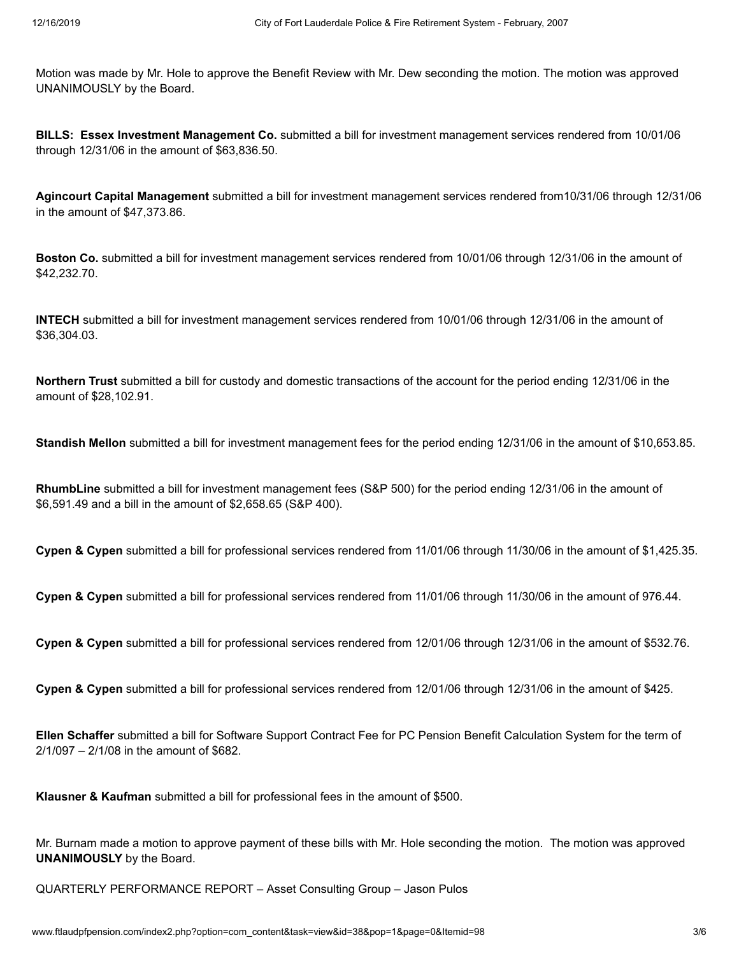Motion was made by Mr. Hole to approve the Benefit Review with Mr. Dew seconding the motion. The motion was approved UNANIMOUSLY by the Board.

**BILLS: Essex Investment Management Co.** submitted a bill for investment management services rendered from 10/01/06 through 12/31/06 in the amount of \$63,836.50.

**Agincourt Capital Management** submitted a bill for investment management services rendered from10/31/06 through 12/31/06 in the amount of \$47,373.86.

**Boston Co.** submitted a bill for investment management services rendered from 10/01/06 through 12/31/06 in the amount of \$42,232.70.

**INTECH** submitted a bill for investment management services rendered from 10/01/06 through 12/31/06 in the amount of \$36,304.03.

**Northern Trust** submitted a bill for custody and domestic transactions of the account for the period ending 12/31/06 in the amount of \$28,102.91.

**Standish Mellon** submitted a bill for investment management fees for the period ending 12/31/06 in the amount of \$10,653.85.

**RhumbLine** submitted a bill for investment management fees (S&P 500) for the period ending 12/31/06 in the amount of \$6,591.49 and a bill in the amount of \$2,658.65 (S&P 400).

**Cypen & Cypen** submitted a bill for professional services rendered from 11/01/06 through 11/30/06 in the amount of \$1,425.35.

**Cypen & Cypen** submitted a bill for professional services rendered from 11/01/06 through 11/30/06 in the amount of 976.44.

**Cypen & Cypen** submitted a bill for professional services rendered from 12/01/06 through 12/31/06 in the amount of \$532.76.

**Cypen & Cypen** submitted a bill for professional services rendered from 12/01/06 through 12/31/06 in the amount of \$425.

**Ellen Schaffer** submitted a bill for Software Support Contract Fee for PC Pension Benefit Calculation System for the term of 2/1/097 – 2/1/08 in the amount of \$682.

**Klausner & Kaufman** submitted a bill for professional fees in the amount of \$500.

Mr. Burnam made a motion to approve payment of these bills with Mr. Hole seconding the motion. The motion was approved **UNANIMOUSLY** by the Board.

QUARTERLY PERFORMANCE REPORT – Asset Consulting Group – Jason Pulos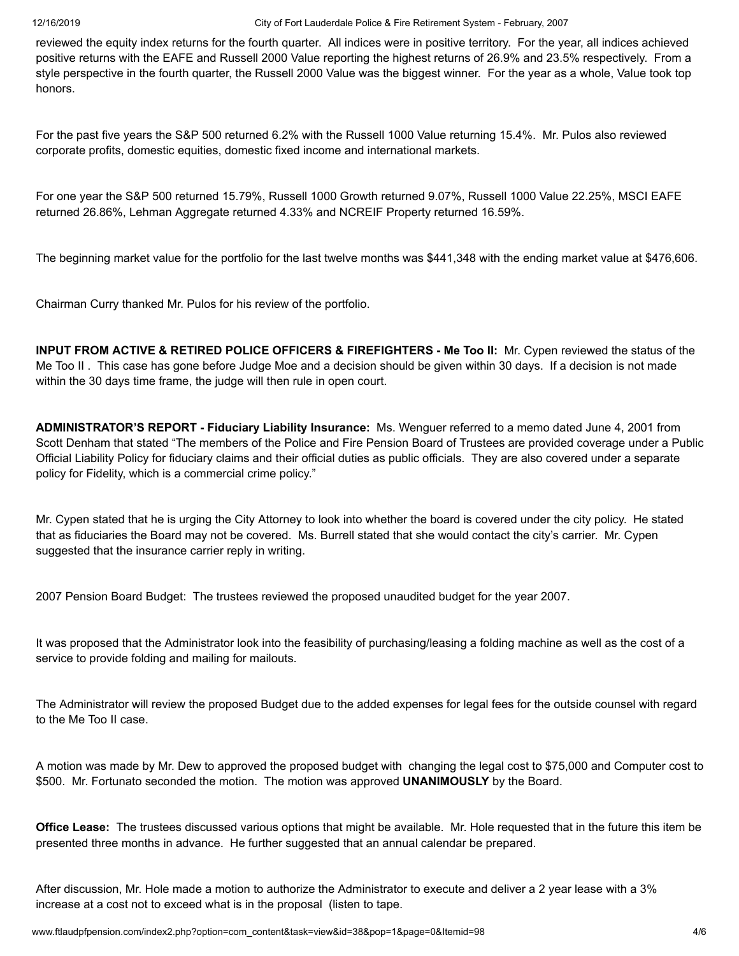reviewed the equity index returns for the fourth quarter. All indices were in positive territory. For the year, all indices achieved positive returns with the EAFE and Russell 2000 Value reporting the highest returns of 26.9% and 23.5% respectively. From a style perspective in the fourth quarter, the Russell 2000 Value was the biggest winner. For the year as a whole, Value took top honors.

For the past five years the S&P 500 returned 6.2% with the Russell 1000 Value returning 15.4%. Mr. Pulos also reviewed corporate profits, domestic equities, domestic fixed income and international markets.

For one year the S&P 500 returned 15.79%, Russell 1000 Growth returned 9.07%, Russell 1000 Value 22.25%, MSCI EAFE returned 26.86%, Lehman Aggregate returned 4.33% and NCREIF Property returned 16.59%.

The beginning market value for the portfolio for the last twelve months was \$441,348 with the ending market value at \$476,606.

Chairman Curry thanked Mr. Pulos for his review of the portfolio.

**INPUT FROM ACTIVE & RETIRED POLICE OFFICERS & FIREFIGHTERS - Me Too II:** Mr. Cypen reviewed the status of the Me Too II . This case has gone before Judge Moe and a decision should be given within 30 days. If a decision is not made within the 30 days time frame, the judge will then rule in open court.

**ADMINISTRATOR'S REPORT - Fiduciary Liability Insurance:** Ms. Wenguer referred to a memo dated June 4, 2001 from Scott Denham that stated "The members of the Police and Fire Pension Board of Trustees are provided coverage under a Public Official Liability Policy for fiduciary claims and their official duties as public officials. They are also covered under a separate policy for Fidelity, which is a commercial crime policy."

Mr. Cypen stated that he is urging the City Attorney to look into whether the board is covered under the city policy. He stated that as fiduciaries the Board may not be covered. Ms. Burrell stated that she would contact the city's carrier. Mr. Cypen suggested that the insurance carrier reply in writing.

2007 Pension Board Budget: The trustees reviewed the proposed unaudited budget for the year 2007.

It was proposed that the Administrator look into the feasibility of purchasing/leasing a folding machine as well as the cost of a service to provide folding and mailing for mailouts.

The Administrator will review the proposed Budget due to the added expenses for legal fees for the outside counsel with regard to the Me Too II case.

A motion was made by Mr. Dew to approved the proposed budget with changing the legal cost to \$75,000 and Computer cost to \$500. Mr. Fortunato seconded the motion. The motion was approved **UNANIMOUSLY** by the Board.

**Office Lease:** The trustees discussed various options that might be available. Mr. Hole requested that in the future this item be presented three months in advance. He further suggested that an annual calendar be prepared.

After discussion, Mr. Hole made a motion to authorize the Administrator to execute and deliver a 2 year lease with a 3% increase at a cost not to exceed what is in the proposal (listen to tape.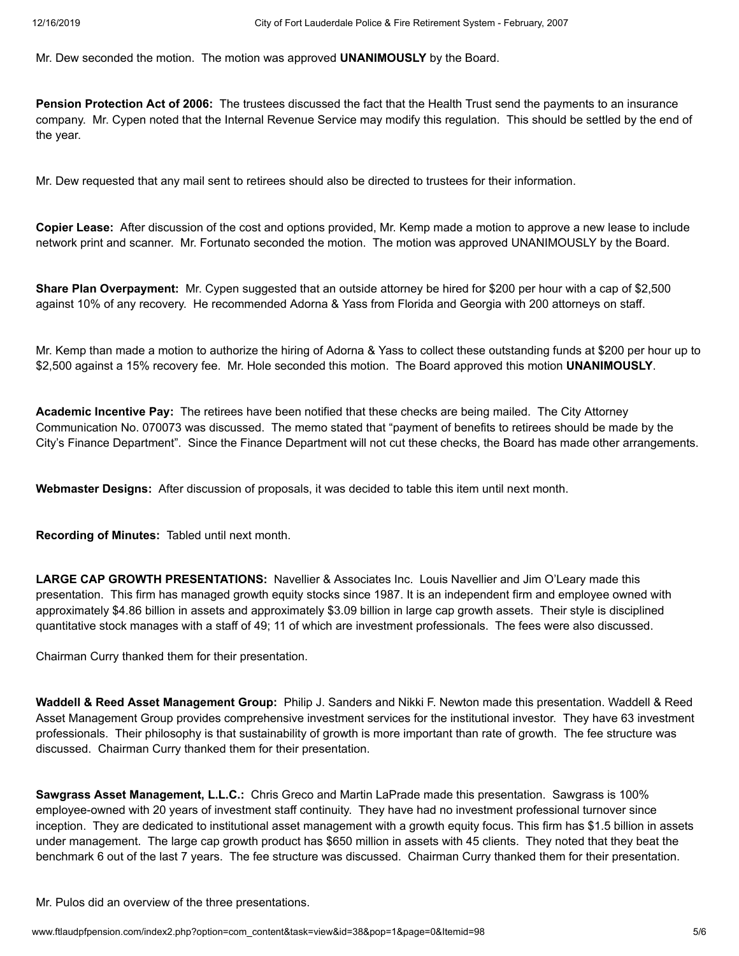Mr. Dew seconded the motion. The motion was approved **UNANIMOUSLY** by the Board.

**Pension Protection Act of 2006:** The trustees discussed the fact that the Health Trust send the payments to an insurance company. Mr. Cypen noted that the Internal Revenue Service may modify this regulation. This should be settled by the end of the year.

Mr. Dew requested that any mail sent to retirees should also be directed to trustees for their information.

**Copier Lease:** After discussion of the cost and options provided, Mr. Kemp made a motion to approve a new lease to include network print and scanner. Mr. Fortunato seconded the motion. The motion was approved UNANIMOUSLY by the Board.

**Share Plan Overpayment:** Mr. Cypen suggested that an outside attorney be hired for \$200 per hour with a cap of \$2,500 against 10% of any recovery. He recommended Adorna & Yass from Florida and Georgia with 200 attorneys on staff.

Mr. Kemp than made a motion to authorize the hiring of Adorna & Yass to collect these outstanding funds at \$200 per hour up to \$2,500 against a 15% recovery fee. Mr. Hole seconded this motion. The Board approved this motion **UNANIMOUSLY**.

**Academic Incentive Pay:** The retirees have been notified that these checks are being mailed. The City Attorney Communication No. 070073 was discussed. The memo stated that "payment of benefits to retirees should be made by the City's Finance Department". Since the Finance Department will not cut these checks, the Board has made other arrangements.

**Webmaster Designs:** After discussion of proposals, it was decided to table this item until next month.

**Recording of Minutes:** Tabled until next month.

**LARGE CAP GROWTH PRESENTATIONS:** Navellier & Associates Inc. Louis Navellier and Jim O'Leary made this presentation. This firm has managed growth equity stocks since 1987. It is an independent firm and employee owned with approximately \$4.86 billion in assets and approximately \$3.09 billion in large cap growth assets. Their style is disciplined quantitative stock manages with a staff of 49; 11 of which are investment professionals. The fees were also discussed.

Chairman Curry thanked them for their presentation.

**Waddell & Reed Asset Management Group:** Philip J. Sanders and Nikki F. Newton made this presentation. Waddell & Reed Asset Management Group provides comprehensive investment services for the institutional investor. They have 63 investment professionals. Their philosophy is that sustainability of growth is more important than rate of growth. The fee structure was discussed. Chairman Curry thanked them for their presentation.

**Sawgrass Asset Management, L.L.C.:** Chris Greco and Martin LaPrade made this presentation. Sawgrass is 100% employee-owned with 20 years of investment staff continuity. They have had no investment professional turnover since inception. They are dedicated to institutional asset management with a growth equity focus. This firm has \$1.5 billion in assets under management. The large cap growth product has \$650 million in assets with 45 clients. They noted that they beat the benchmark 6 out of the last 7 years. The fee structure was discussed. Chairman Curry thanked them for their presentation.

Mr. Pulos did an overview of the three presentations.